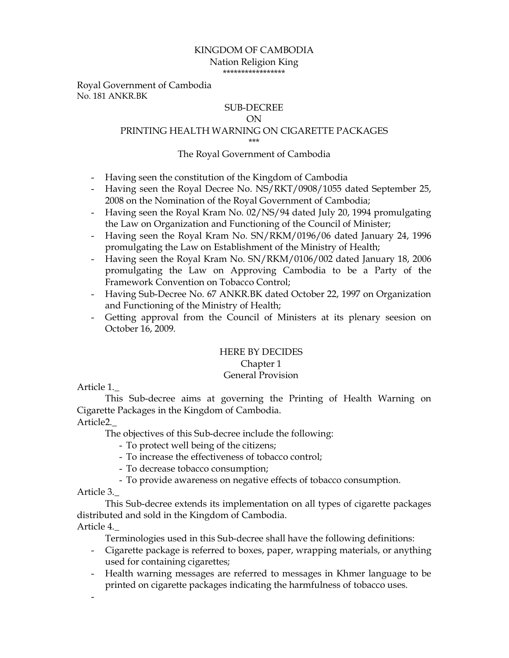#### KINGDOM OF CAMBODIA Nation Religion King \*\*\*\*\*\*\*\*\*\*\*\*\*\*\*\*\*

Royal Government of Cambodia No. 181 ANKR.BK

### SUB-DECREE

#### ON

# PRINTING HEALTH WARNING ON CIGARETTE PACKAGES

\*\*\*

#### The Royal Government of Cambodia

- Having seen the constitution of the Kingdom of Cambodia
- Having seen the Royal Decree No. NS/RKT/0908/1055 dated September 25, 2008 on the Nomination of the Royal Government of Cambodia;
- Having seen the Royal Kram No. 02/NS/94 dated July 20, 1994 promulgating the Law on Organization and Functioning of the Council of Minister;
- Having seen the Royal Kram No. SN/RKM/0196/06 dated January 24, 1996 promulgating the Law on Establishment of the Ministry of Health;
- Having seen the Royal Kram No. SN/RKM/0106/002 dated January 18, 2006 promulgating the Law on Approving Cambodia to be a Party of the Framework Convention on Tobacco Control;
- Having Sub-Decree No. 67 ANKR.BK dated October 22, 1997 on Organization and Functioning of the Ministry of Health;
- Getting approval from the Council of Ministers at its plenary seesion on October 16, 2009.

### HERE BY DECIDES Chapter 1 General Provision

## Article 1.\_

This Sub-decree aims at governing the Printing of Health Warning on Cigarette Packages in the Kingdom of Cambodia.

### Article2.\_

The objectives of this Sub-decree include the following:

- To protect well being of the citizens;
- To increase the effectiveness of tobacco control;
- To decrease tobacco consumption;
- To provide awareness on negative effects of tobacco consumption.

#### Article 3.\_

 This Sub-decree extends its implementation on all types of cigarette packages distributed and sold in the Kingdom of Cambodia.

Article 4.\_

-

Terminologies used in this Sub-decree shall have the following definitions:

- Cigarette package is referred to boxes, paper, wrapping materials, or anything used for containing cigarettes;
- Health warning messages are referred to messages in Khmer language to be printed on cigarette packages indicating the harmfulness of tobacco uses.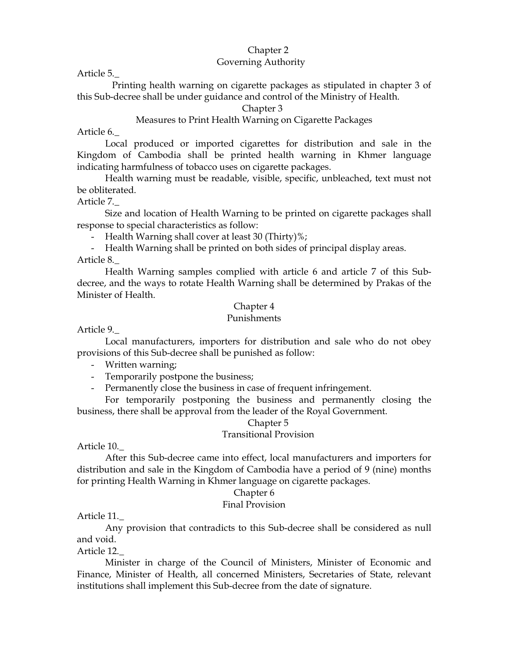#### Chapter 2 Governing Authority

Article 5.\_

 Printing health warning on cigarette packages as stipulated in chapter 3 of this Sub-decree shall be under guidance and control of the Ministry of Health.

#### Chapter 3

# Measures to Print Health Warning on Cigarette Packages

Article 6.\_

Local produced or imported cigarettes for distribution and sale in the Kingdom of Cambodia shall be printed health warning in Khmer language indicating harmfulness of tobacco uses on cigarette packages.

Health warning must be readable, visible, specific, unbleached, text must not be obliterated.

Article 7.\_

 Size and location of Health Warning to be printed on cigarette packages shall response to special characteristics as follow:

- Health Warning shall cover at least 30 (Thirty)%;

- Health Warning shall be printed on both sides of principal display areas. Article 8.\_

 Health Warning samples complied with article 6 and article 7 of this Subdecree, and the ways to rotate Health Warning shall be determined by Prakas of the Minister of Health.

### Chapter 4

#### Punishments

Article 9.\_

 Local manufacturers, importers for distribution and sale who do not obey provisions of this Sub-decree shall be punished as follow:

- Written warning;
- Temporarily postpone the business;
- Permanently close the business in case of frequent infringement.

For temporarily postponing the business and permanently closing the business, there shall be approval from the leader of the Royal Government.

#### Chapter 5

#### Transitional Provision

Article 10.\_

 After this Sub-decree came into effect, local manufacturers and importers for distribution and sale in the Kingdom of Cambodia have a period of 9 (nine) months for printing Health Warning in Khmer language on cigarette packages.

#### Chapter 6

#### Final Provision

Article 11.\_

Any provision that contradicts to this Sub-decree shall be considered as null and void.

Article 12.\_

 Minister in charge of the Council of Ministers, Minister of Economic and Finance, Minister of Health, all concerned Ministers, Secretaries of State, relevant institutions shall implement this Sub-decree from the date of signature.